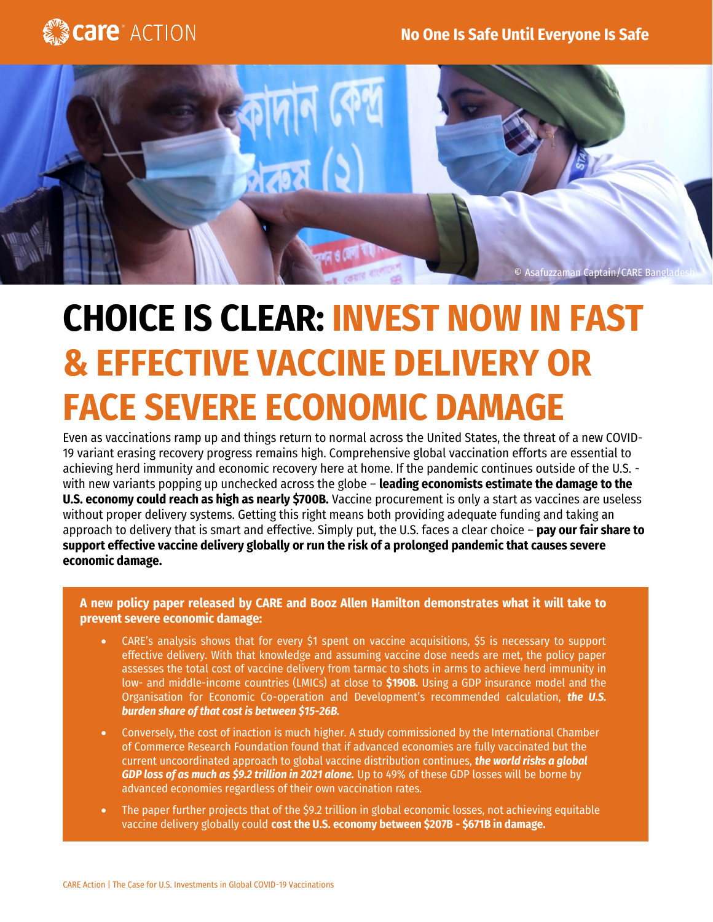



# **CHOICE IS CLEAR: INVEST NOW IN FAST & EFFECTIVE VACCINE DELIVERY OR FACE SEVERE ECONOMIC DAMAGE**

Even as vaccinations ramp up and things return to normal across the United States, the threat of a new COVID-19 variant erasing recovery progress remains high. Comprehensive global vaccination efforts are essential to achieving herd immunity and economic recovery here at home. If the pandemic continues outside of the U.S. with new variants popping up unchecked across the globe – **leading economists estimate the damage to the U.S. economy could reach as high as nearly \$700B.** Vaccine procurement is only a start as vaccines are useless without proper delivery systems. Getting this right means both providing adequate funding and taking an approach to delivery that is smart and effective. Simply put, the U.S. faces a clear choice – **pay our fair share to support effective vaccine delivery globally or run the risk of a prolonged pandemic that causes severe economic damage.** 

**A new policy paper released by CARE and Booz Allen Hamilton demonstrates what it will take to prevent severe economic damage:**

- CARE's analysis shows that for every \$1 spent on vaccine acquisitions, \$5 is necessary to support effective delivery. With that knowledge and assuming vaccine dose needs are met, the policy paper assesses the total cost of vaccine delivery from tarmac to shots in arms to achieve herd immunity in low- and middle-income countries (LMICs) at close to **\$190B.** Using a GDP insurance model and the Organisation for Economic Co-operation and Development's recommended calculation, *the U.S. burden share of that cost is between \$15-26B.*
- Conversely, the cost of inaction is much higher. A study commissioned by the International Chamber of Commerce Research Foundation found that if advanced economies are fully vaccinated but the current uncoordinated approach to global vaccine distribution continues, *the world risks a global GDP loss of as much as \$9.2 trillion in 2021 alone.* Up to 49% of these GDP losses will be borne by advanced economies regardless of their own vaccination rates.
- The paper further projects that of the \$9.2 trillion in global economic losses, not achieving equitable vaccine delivery globally could **cost the U.S. economy between \$207B - \$671B in damage.**